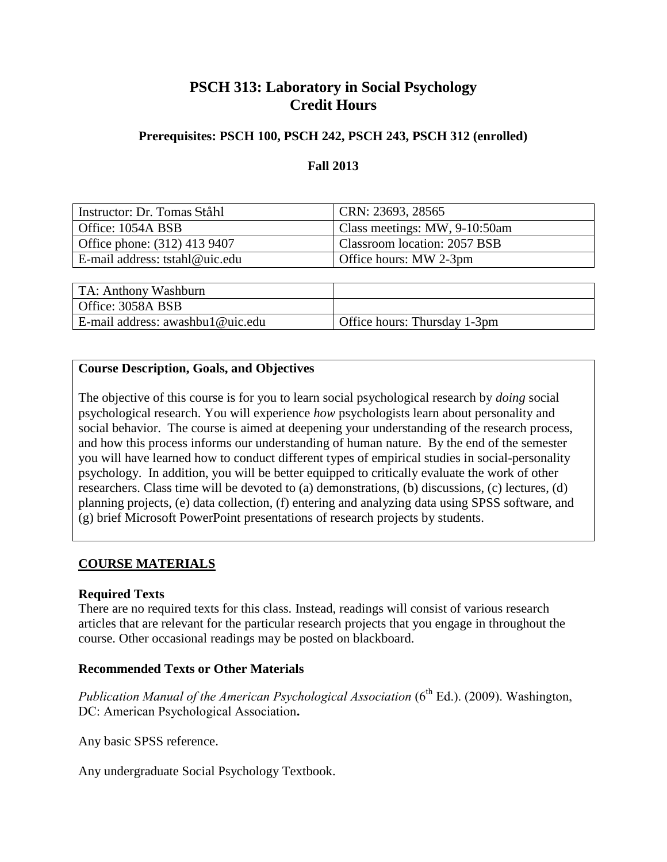## **PSCH 313: Laboratory in Social Psychology Credit Hours**

## **Prerequisites: PSCH 100, PSCH 242, PSCH 243, PSCH 312 (enrolled)**

## **Fall 2013**

| Instructor: Dr. Tomas Ståhl      | CRN: 23693, 28565             |
|----------------------------------|-------------------------------|
| Office: 1054A BSB                | Class meetings: MW, 9-10:50am |
| Office phone: (312) 413 9407     | Classroom location: 2057 BSB  |
| E-mail address: tstahl@uic.edu   | Office hours: MW 2-3pm        |
|                                  |                               |
| TA: Anthony Washburn             |                               |
| Office: 3058A BSB                |                               |
| E-mail address: awashbu1@uic.edu | Office hours: Thursday 1-3pm  |

## **Course Description, Goals, and Objectives**

The objective of this course is for you to learn social psychological research by *doing* social psychological research. You will experience *how* psychologists learn about personality and social behavior. The course is aimed at deepening your understanding of the research process, and how this process informs our understanding of human nature. By the end of the semester you will have learned how to conduct different types of empirical studies in social-personality psychology. In addition, you will be better equipped to critically evaluate the work of other researchers. Class time will be devoted to (a) demonstrations, (b) discussions, (c) lectures, (d) planning projects, (e) data collection, (f) entering and analyzing data using SPSS software, and (g) brief Microsoft PowerPoint presentations of research projects by students.

## **COURSE MATERIALS**

## **Required Texts**

There are no required texts for this class. Instead, readings will consist of various research articles that are relevant for the particular research projects that you engage in throughout the course. Other occasional readings may be posted on blackboard.

## **Recommended Texts or Other Materials**

*Publication Manual of the American Psychological Association* (6<sup>th</sup> Ed.). (2009). Washington, DC: American Psychological Association**.**

Any basic SPSS reference.

Any undergraduate Social Psychology Textbook.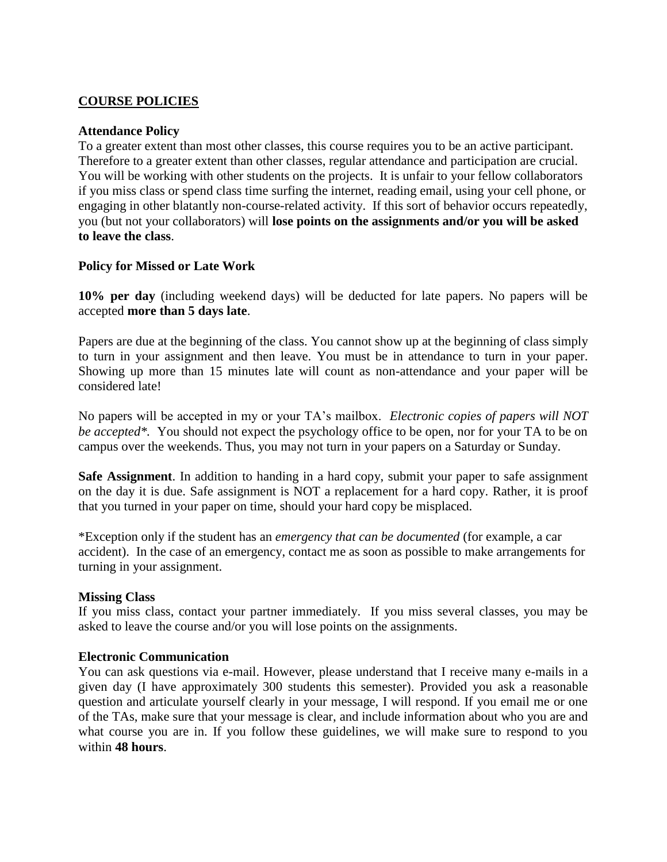### **COURSE POLICIES**

#### **Attendance Policy**

To a greater extent than most other classes, this course requires you to be an active participant. Therefore to a greater extent than other classes, regular attendance and participation are crucial. You will be working with other students on the projects. It is unfair to your fellow collaborators if you miss class or spend class time surfing the internet, reading email, using your cell phone, or engaging in other blatantly non-course-related activity. If this sort of behavior occurs repeatedly, you (but not your collaborators) will **lose points on the assignments and/or you will be asked to leave the class**.

#### **Policy for Missed or Late Work**

**10% per day** (including weekend days) will be deducted for late papers. No papers will be accepted **more than 5 days late**.

Papers are due at the beginning of the class. You cannot show up at the beginning of class simply to turn in your assignment and then leave. You must be in attendance to turn in your paper. Showing up more than 15 minutes late will count as non-attendance and your paper will be considered late!

No papers will be accepted in my or your TA's mailbox. *Electronic copies of papers will NOT be accepted\*.* You should not expect the psychology office to be open, nor for your TA to be on campus over the weekends. Thus, you may not turn in your papers on a Saturday or Sunday.

**Safe Assignment**. In addition to handing in a hard copy, submit your paper to safe assignment on the day it is due. Safe assignment is NOT a replacement for a hard copy. Rather, it is proof that you turned in your paper on time, should your hard copy be misplaced.

\*Exception only if the student has an *emergency that can be documented* (for example, a car accident). In the case of an emergency, contact me as soon as possible to make arrangements for turning in your assignment.

#### **Missing Class**

If you miss class, contact your partner immediately. If you miss several classes, you may be asked to leave the course and/or you will lose points on the assignments.

#### **Electronic Communication**

You can ask questions via e-mail. However, please understand that I receive many e-mails in a given day (I have approximately 300 students this semester). Provided you ask a reasonable question and articulate yourself clearly in your message, I will respond. If you email me or one of the TAs, make sure that your message is clear, and include information about who you are and what course you are in. If you follow these guidelines, we will make sure to respond to you within **48 hours**.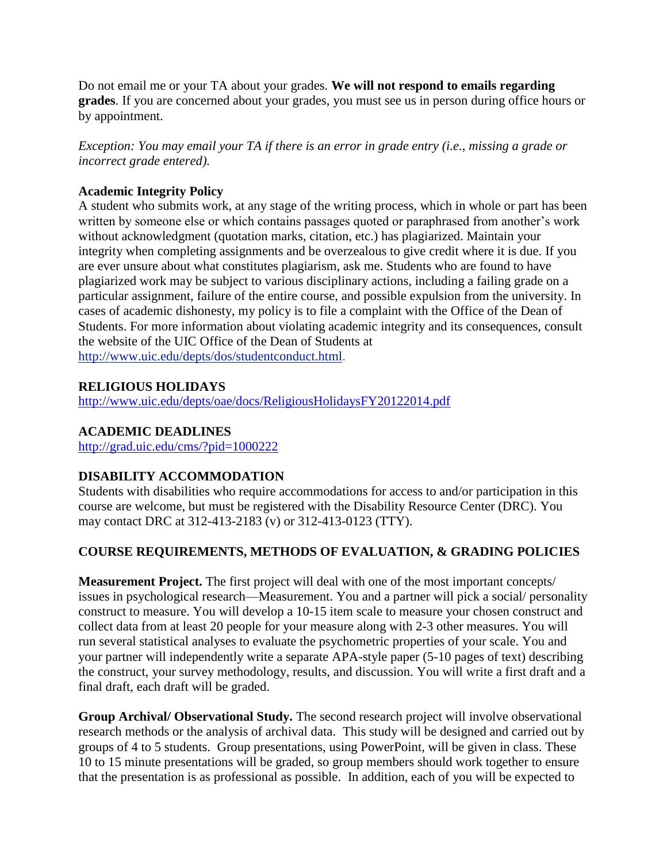Do not email me or your TA about your grades. **We will not respond to emails regarding grades**. If you are concerned about your grades, you must see us in person during office hours or by appointment.

*Exception: You may email your TA if there is an error in grade entry (i.e., missing a grade or incorrect grade entered).*

## **Academic Integrity Policy**

A student who submits work, at any stage of the writing process, which in whole or part has been written by someone else or which contains passages quoted or paraphrased from another's work without acknowledgment (quotation marks, citation, etc.) has plagiarized. Maintain your integrity when completing assignments and be overzealous to give credit where it is due. If you are ever unsure about what constitutes plagiarism, ask me. Students who are found to have plagiarized work may be subject to various disciplinary actions, including a failing grade on a particular assignment, failure of the entire course, and possible expulsion from the university. In cases of academic dishonesty, my policy is to file a complaint with the Office of the Dean of Students. For more information about violating academic integrity and its consequences, consult the website of the UIC Office of the Dean of Students at [http://www.uic.edu/depts/dos/studentconduct.html.](http://www.uic.edu/depts/dos/studentconduct.html)

## **RELIGIOUS HOLIDAYS**

<http://www.uic.edu/depts/oae/docs/ReligiousHolidaysFY20122014.pdf>

## **ACADEMIC DEADLINES**

<http://grad.uic.edu/cms/?pid=1000222>

## **DISABILITY ACCOMMODATION**

Students with disabilities who require accommodations for access to and/or participation in this course are welcome, but must be registered with the Disability Resource Center (DRC). You may contact DRC at 312-413-2183 (v) or 312-413-0123 (TTY).

## **COURSE REQUIREMENTS, METHODS OF EVALUATION, & GRADING POLICIES**

**Measurement Project.** The first project will deal with one of the most important concepts/ issues in psychological research—Measurement. You and a partner will pick a social/ personality construct to measure. You will develop a 10-15 item scale to measure your chosen construct and collect data from at least 20 people for your measure along with 2-3 other measures. You will run several statistical analyses to evaluate the psychometric properties of your scale. You and your partner will independently write a separate APA-style paper (5-10 pages of text) describing the construct, your survey methodology, results, and discussion. You will write a first draft and a final draft, each draft will be graded.

**Group Archival/ Observational Study.** The second research project will involve observational research methods or the analysis of archival data. This study will be designed and carried out by groups of 4 to 5 students. Group presentations, using PowerPoint, will be given in class. These 10 to 15 minute presentations will be graded, so group members should work together to ensure that the presentation is as professional as possible. In addition, each of you will be expected to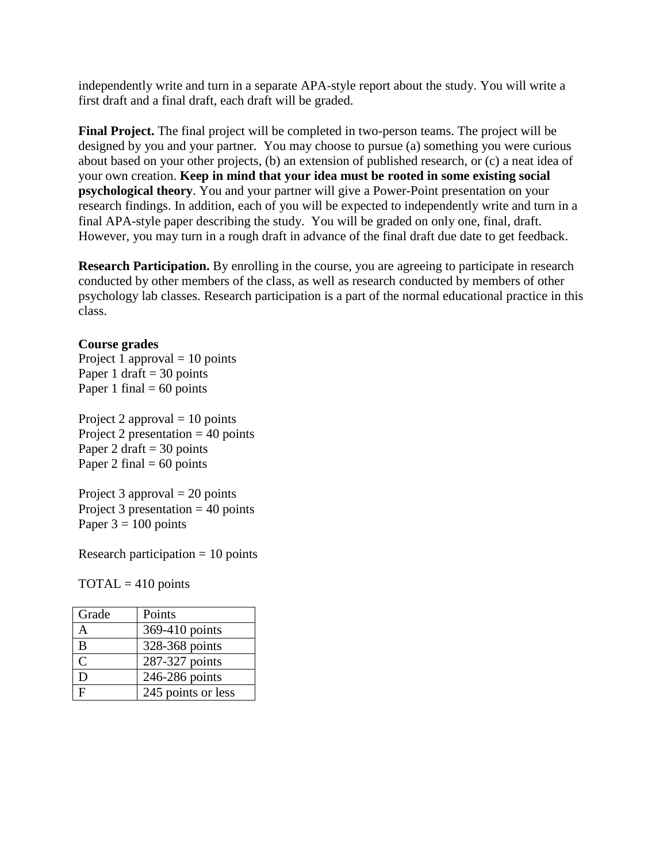independently write and turn in a separate APA-style report about the study. You will write a first draft and a final draft, each draft will be graded.

**Final Project.** The final project will be completed in two-person teams. The project will be designed by you and your partner. You may choose to pursue (a) something you were curious about based on your other projects, (b) an extension of published research, or (c) a neat idea of your own creation. **Keep in mind that your idea must be rooted in some existing social psychological theory**. You and your partner will give a Power-Point presentation on your research findings. In addition, each of you will be expected to independently write and turn in a final APA-style paper describing the study. You will be graded on only one, final, draft. However, you may turn in a rough draft in advance of the final draft due date to get feedback.

**Research Participation.** By enrolling in the course, you are agreeing to participate in research conducted by other members of the class, as well as research conducted by members of other psychology lab classes. Research participation is a part of the normal educational practice in this class.

### **Course grades**

Project 1 approval  $= 10$  points Paper 1 draft  $=$  30 points Paper 1 final  $= 60$  points

Project 2 approval  $= 10$  points Project 2 presentation  $= 40$  points Paper 2 draft  $=$  30 points Paper 2 final  $= 60$  points

Project 3 approval  $= 20$  points Project 3 presentation  $=$  40 points Paper  $3 = 100$  points

Research participation  $= 10$  points

 $\text{TOTAL} = 410 \text{ points}$ 

| Grade         | Points             |
|---------------|--------------------|
| д             | 369-410 points     |
| B             | 328-368 points     |
| $\mathcal{C}$ | 287-327 points     |
| D             | 246-286 points     |
| F             | 245 points or less |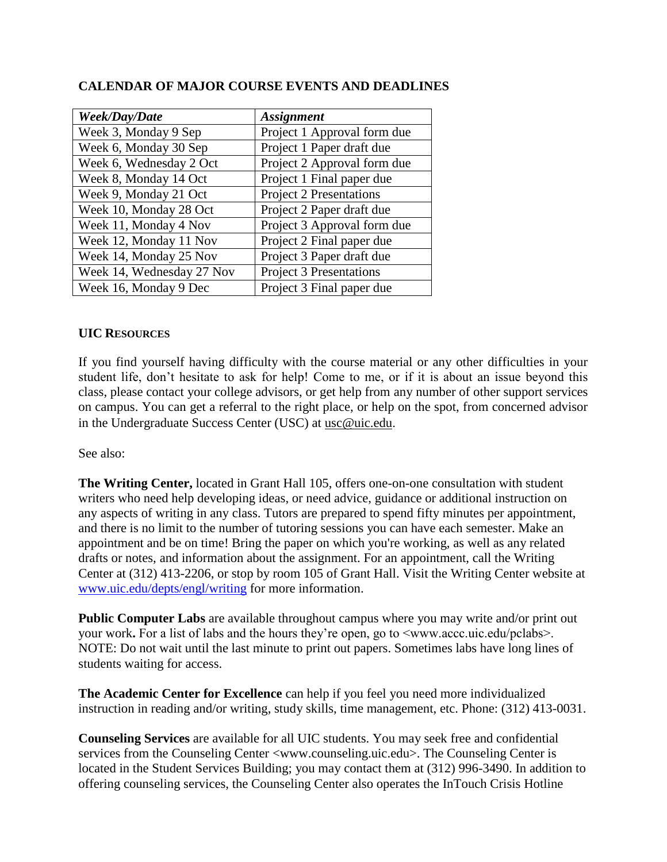| Week/Day/Date             | <b>Assignment</b>              |
|---------------------------|--------------------------------|
| Week 3, Monday 9 Sep      | Project 1 Approval form due    |
| Week 6, Monday 30 Sep     | Project 1 Paper draft due      |
| Week 6, Wednesday 2 Oct   | Project 2 Approval form due    |
| Week 8, Monday 14 Oct     | Project 1 Final paper due      |
| Week 9, Monday 21 Oct     | <b>Project 2 Presentations</b> |
| Week 10, Monday 28 Oct    | Project 2 Paper draft due      |
| Week 11, Monday 4 Nov     | Project 3 Approval form due    |
| Week 12, Monday 11 Nov    | Project 2 Final paper due      |
| Week 14, Monday 25 Nov    | Project 3 Paper draft due      |
| Week 14, Wednesday 27 Nov | <b>Project 3 Presentations</b> |
| Week 16, Monday 9 Dec     | Project 3 Final paper due      |

## **CALENDAR OF MAJOR COURSE EVENTS AND DEADLINES**

#### **UIC RESOURCES**

If you find yourself having difficulty with the course material or any other difficulties in your student life, don't hesitate to ask for help! Come to me, or if it is about an issue beyond this class, please contact your college advisors, or get help from any number of other support services on campus. You can get a referral to the right place, or help on the spot, from concerned advisor in the Undergraduate Success Center (USC) at [usc@uic.edu](mailto:usc@uic.edu).

See also:

**The Writing Center,** located in Grant Hall 105, offers one-on-one consultation with student writers who need help developing ideas, or need advice, guidance or additional instruction on any aspects of writing in any class. Tutors are prepared to spend fifty minutes per appointment, and there is no limit to the number of tutoring sessions you can have each semester. Make an appointment and be on time! Bring the paper on which you're working, as well as any related drafts or notes, and information about the assignment. For an appointment, call the Writing Center at (312) 413-2206, or stop by room 105 of Grant Hall. Visit the Writing Center website at [www.uic.edu/depts/engl/writing](http://www.uic.edu/depts/engl/writing) for more information.

**Public Computer Labs** are available throughout campus where you may write and/or print out your work**.** For a list of labs and the hours they're open, go to <www.accc.uic.edu/pclabs>. NOTE: Do not wait until the last minute to print out papers. Sometimes labs have long lines of students waiting for access.

**The Academic Center for Excellence** can help if you feel you need more individualized instruction in reading and/or writing, study skills, time management, etc. Phone: (312) 413-0031.

**Counseling Services** are available for all UIC students. You may seek free and confidential services from the Counseling Center <www.counseling.uic.edu>. The Counseling Center is located in the Student Services Building; you may contact them at (312) 996-3490. In addition to offering counseling services, the Counseling Center also operates the InTouch Crisis Hotline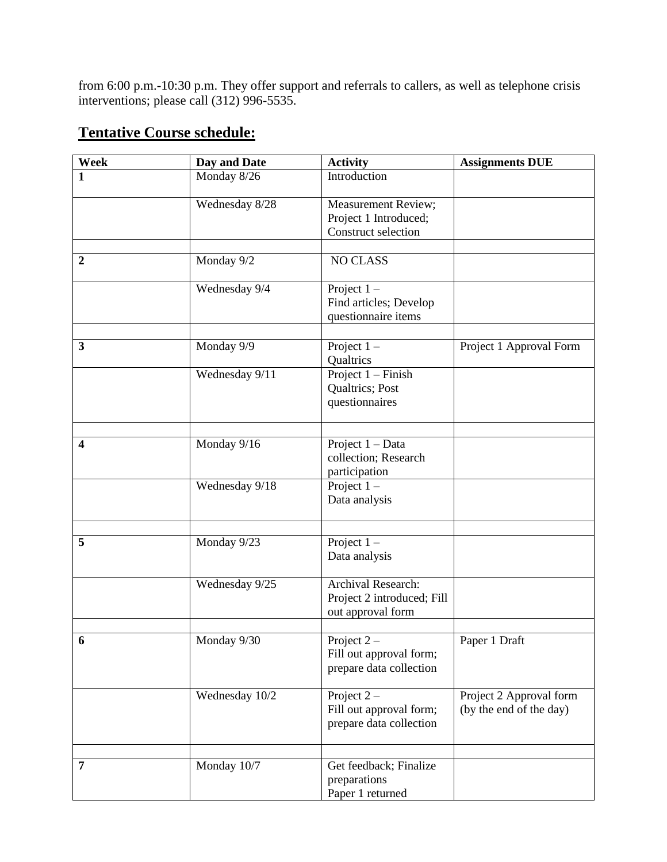from 6:00 p.m.-10:30 p.m. They offer support and referrals to callers, as well as telephone crisis interventions; please call (312) 996-5535.

# **Tentative Course schedule:**

| Week                    | Day and Date           | <b>Activity</b>                                                       | <b>Assignments DUE</b>                             |
|-------------------------|------------------------|-----------------------------------------------------------------------|----------------------------------------------------|
| 1                       | Monday 8/26            | Introduction                                                          |                                                    |
|                         | Wednesday 8/28         | Measurement Review;<br>Project 1 Introduced;<br>Construct selection   |                                                    |
|                         |                        |                                                                       |                                                    |
| $\overline{2}$          | Monday $9\sqrt{2}$     | <b>NO CLASS</b>                                                       |                                                    |
|                         | Wednesday 9/4          | Project $1 -$<br>Find articles; Develop<br>questionnaire items        |                                                    |
| 3                       | Monday 9/9             | Project $1 -$<br>Qualtrics                                            | Project 1 Approval Form                            |
|                         | Wednesday 9/11         | Project $1 -$ Finish<br>Qualtrics; Post<br>questionnaires             |                                                    |
|                         |                        |                                                                       |                                                    |
| $\overline{\mathbf{4}}$ | Monday 9/16            | Project $1 - Data$<br>collection; Research<br>participation           |                                                    |
|                         | Wednesday 9/18         | Project $1 -$<br>Data analysis                                        |                                                    |
|                         |                        |                                                                       |                                                    |
| 5                       | Monday 9/23            | Project $1 -$<br>Data analysis                                        |                                                    |
|                         | Wednesday $9\sqrt{25}$ | Archival Research:<br>Project 2 introduced; Fill<br>out approval form |                                                    |
|                         |                        |                                                                       |                                                    |
| 6                       | Monday 9/30            | Project $2 -$<br>Fill out approval form;<br>prepare data collection   | Paper 1 Draft                                      |
|                         | Wednesday 10/2         | Project $2-$<br>Fill out approval form;<br>prepare data collection    | Project 2 Approval form<br>(by the end of the day) |
|                         |                        |                                                                       |                                                    |
| 7                       | Monday 10/7            | Get feedback; Finalize<br>preparations<br>Paper 1 returned            |                                                    |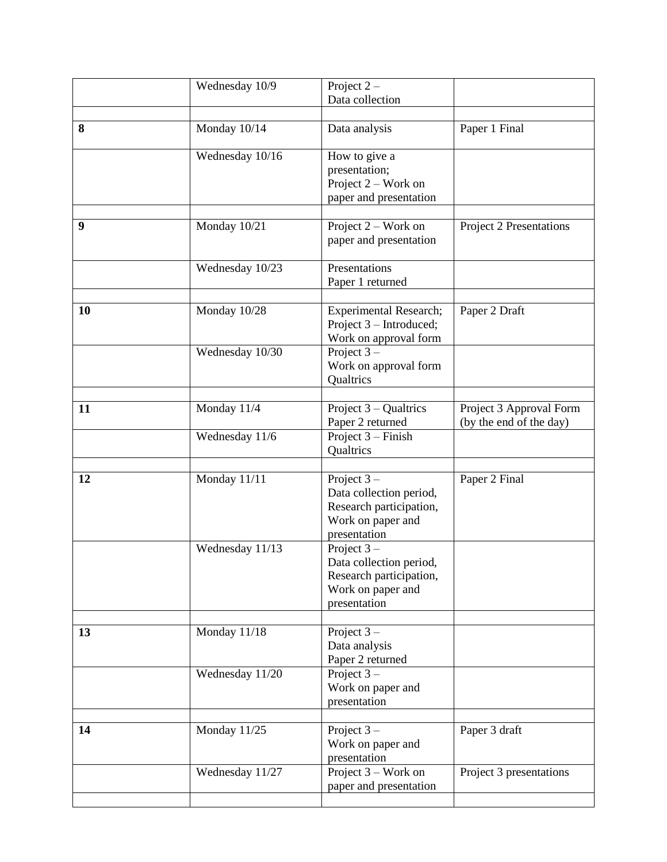|    | Wednesday 10/9  | Project $2 -$<br>Data collection                                                                         |                                                    |
|----|-----------------|----------------------------------------------------------------------------------------------------------|----------------------------------------------------|
| 8  | Monday 10/14    | Data analysis                                                                                            | Paper 1 Final                                      |
|    | Wednesday 10/16 | How to give a<br>presentation;<br>Project $2$ – Work on<br>paper and presentation                        |                                                    |
| 9  | Monday 10/21    | Project $2$ – Work on<br>paper and presentation                                                          | Project 2 Presentations                            |
|    | Wednesday 10/23 | Presentations<br>Paper 1 returned                                                                        |                                                    |
| 10 | Monday 10/28    | <b>Experimental Research;</b><br>Project 3 – Introduced;<br>Work on approval form                        | Paper 2 Draft                                      |
|    | Wednesday 10/30 | Project $3-$<br>Work on approval form<br><b>Qualtrics</b>                                                |                                                    |
| 11 | Monday 11/4     | Project $3 -$ Qualtrics<br>Paper 2 returned                                                              | Project 3 Approval Form<br>(by the end of the day) |
|    | Wednesday 11/6  | Project $3 -$ Finish<br>Qualtrics                                                                        |                                                    |
| 12 | Monday 11/11    | Project $3-$<br>Data collection period,<br>Research participation,<br>Work on paper and<br>presentation  | Paper 2 Final                                      |
|    | Wednesday 11/13 | Project $3$ –<br>Data collection period,<br>Research participation,<br>Work on paper and<br>presentation |                                                    |
| 13 | Monday 11/18    | Project $3-$<br>Data analysis<br>Paper 2 returned                                                        |                                                    |
|    | Wednesday 11/20 | Project $3-$<br>Work on paper and<br>presentation                                                        |                                                    |
| 14 | Monday 11/25    | Project $3-$<br>Work on paper and<br>presentation                                                        | Paper 3 draft                                      |
|    | Wednesday 11/27 | Project $3$ – Work on<br>paper and presentation                                                          | Project 3 presentations                            |
|    |                 |                                                                                                          |                                                    |